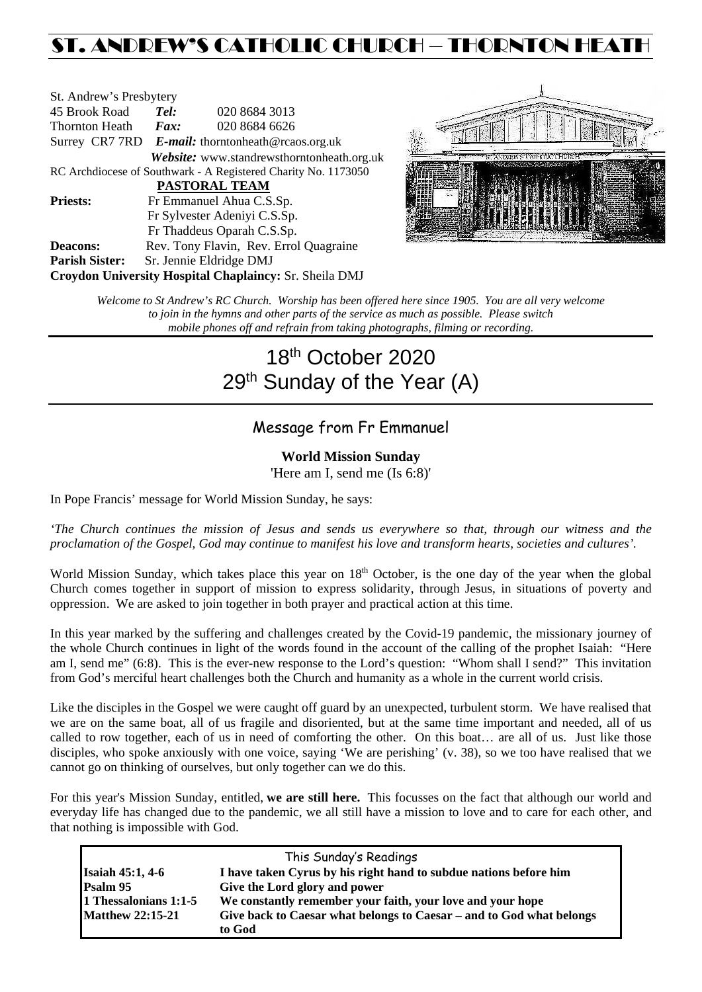## ST. ANDREW'S CATHOLIC CHURCH – THORNTON HEATH

| St. Andrew's Presbytery                                        |                                                      |                                            |  |  |  |
|----------------------------------------------------------------|------------------------------------------------------|--------------------------------------------|--|--|--|
| 45 Brook Road                                                  | Tel:<br>020 8684 3013                                |                                            |  |  |  |
| Thornton Heath                                                 | $\boldsymbol{Fax:}$                                  | 020 8684 6626                              |  |  |  |
|                                                                | Surrey CR7 7RD $E$ -mail: thorntonheath@rcaos.org.uk |                                            |  |  |  |
|                                                                |                                                      | Website: www.standrewsthorntonheath.org.uk |  |  |  |
| RC Archdiocese of Southwark - A Registered Charity No. 1173050 |                                                      |                                            |  |  |  |
| <b>PASTORAL TEAM</b>                                           |                                                      |                                            |  |  |  |
| <b>Priests:</b>                                                | Fr Emmanuel Ahua C.S.Sp.                             |                                            |  |  |  |
| Fr Sylvester Adeniyi C.S.Sp.                                   |                                                      |                                            |  |  |  |
|                                                                | Fr Thaddeus Oparah C.S.Sp.                           |                                            |  |  |  |
| <b>Deacons:</b>                                                |                                                      | Rev. Tony Flavin, Rev. Errol Quagraine     |  |  |  |
| <b>Parish Sister:</b>                                          | Sr. Jennie Eldridge DMJ                              |                                            |  |  |  |
| <b>Croydon University Hospital Chaplaincy: Sr. Sheila DMJ</b>  |                                                      |                                            |  |  |  |



*Welcome to St Andrew's RC Church. Worship has been offered here since 1905. You are all very welcome to join in the hymns and other parts of the service as much as possible. Please switch mobile phones off and refrain from taking photographs, filming or recording.*

# 18th October 2020 29<sup>th</sup> Sunday of the Year (A)

## Message from Fr Emmanuel

## **World Mission Sunday**

'Here am I, send me (Is 6:8)'

In Pope Francis' message for World Mission Sunday, he says:

*'The Church continues the mission of Jesus and sends us everywhere so that, through our witness and the proclamation of the Gospel, God may continue to manifest his love and transform hearts, societies and cultures'.*

World Mission Sunday, which takes place this year on 18<sup>th</sup> October, is the one day of the year when the global Church comes together in support of mission to express solidarity, through Jesus, in situations of poverty and oppression. We are asked to join together in both prayer and practical action at this time.

In this year marked by the suffering and challenges created by the Covid-19 pandemic, the missionary journey of the whole Church continues in light of the words found in the account of the calling of the prophet Isaiah: "Here am I, send me" (6:8). This is the ever-new response to the Lord's question: "Whom shall I send?" This invitation from God's merciful heart challenges both the Church and humanity as a whole in the current world crisis.

Like the disciples in the Gospel we were caught off guard by an unexpected, turbulent storm. We have realised that we are on the same boat, all of us fragile and disoriented, but at the same time important and needed, all of us called to row together, each of us in need of comforting the other. On this boat… are all of us. Just like those disciples, who spoke anxiously with one voice, saying 'We are perishing' (v. 38), so we too have realised that we cannot go on thinking of ourselves, but only together can we do this.

For this year's Mission Sunday, entitled, **we are still here.** This focusses on the fact that although our world and everyday life has changed due to the pandemic, we all still have a mission to love and to care for each other, and that nothing is impossible with God.

| This Sunday's Readings  |                                                                                |  |  |  |
|-------------------------|--------------------------------------------------------------------------------|--|--|--|
| <b>Isaiah 45:1, 4-6</b> | I have taken Cyrus by his right hand to subdue nations before him              |  |  |  |
| Psalm 95                | Give the Lord glory and power                                                  |  |  |  |
| 1 Thessalonians 1:1-5   | We constantly remember your faith, your love and your hope                     |  |  |  |
| <b>Matthew 22:15-21</b> | Give back to Caesar what belongs to Caesar – and to God what belongs<br>to God |  |  |  |